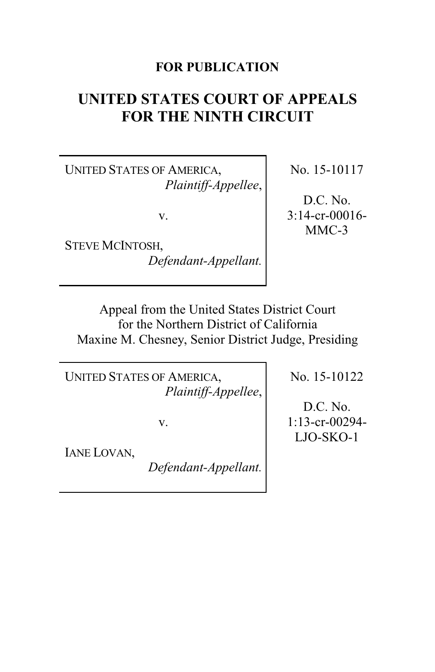## **FOR PUBLICATION**

# **UNITED STATES COURT OF APPEALS FOR THE NINTH CIRCUIT**

UNITED STATES OF AMERICA, *Plaintiff-Appellee*,

v.

STEVE MCINTOSH, *Defendant-Appellant.* No. 15-10117

D.C. No. 3:14-cr-00016- MMC-3

Appeal from the United States District Court for the Northern District of California Maxine M. Chesney, Senior District Judge, Presiding

UNITED STATES OF AMERICA, *Plaintiff-Appellee*,

v.

IANE LOVAN,

*Defendant-Appellant.*

No. 15-10122

D.C. No. 1:13-cr-00294- LJO-SKO-1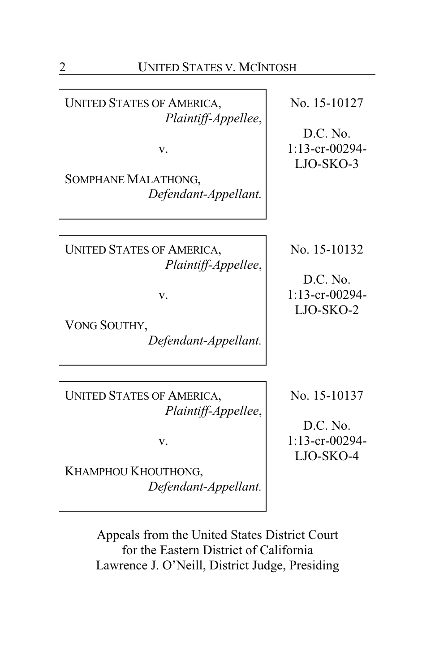UNITED STATES OF AMERICA, *Plaintiff-Appellee*,

v.

SOMPHANE MALATHONG, *Defendant-Appellant.*

UNITED STATES OF AMERICA, *Plaintiff-Appellee*,

v.

VONG SOUTHY, *Defendant-Appellant.*

UNITED STATES OF AMERICA, *Plaintiff-Appellee*,

v.

KHAMPHOU KHOUTHONG, *Defendant-Appellant.* No. 15-10127

D.C. No. 1:13-cr-00294- LJO-SKO-3

No. 15-10132

D.C. No. 1:13-cr-00294- LJO-SKO-2

No. 15-10137

D.C. No. 1:13-cr-00294- LJO-SKO-4

Appeals from the United States District Court for the Eastern District of California Lawrence J. O'Neill, District Judge, Presiding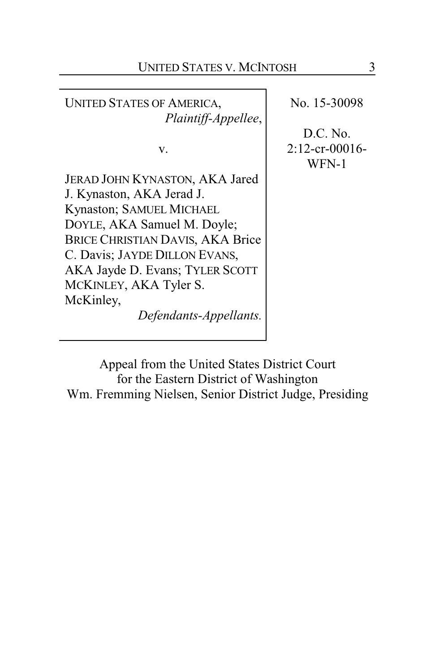UNITED STATES OF AMERICA, *Plaintiff-Appellee*, v. JERAD JOHN KYNASTON, AKA Jared J. Kynaston, AKA Jerad J. Kynaston; SAMUEL MICHAEL DOYLE, AKA Samuel M. Doyle; BRICE CHRISTIAN DAVIS, AKA Brice C. Davis; JAYDE DILLON EVANS, AKA Jayde D. Evans; TYLER SCOTT MCKINLEY, AKA Tyler S. McKinley, *Defendants-Appellants.*

No. 15-30098

D.C. No. 2:12-cr-00016- WFN-1

Appeal from the United States District Court for the Eastern District of Washington Wm. Fremming Nielsen, Senior District Judge, Presiding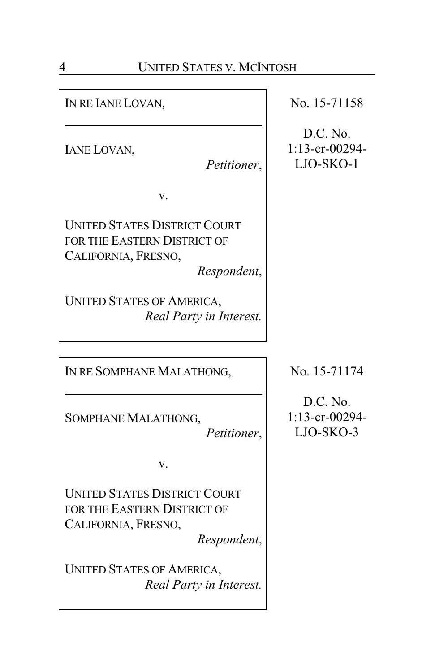IN RE IANE LOVAN,

IANE LOVAN,

*Petitioner*,

v.

UNITED STATES DISTRICT COURT FOR THE EASTERN DISTRICT OF CALIFORNIA, FRESNO,

*Respondent*,

UNITED STATES OF AMERICA, *Real Party in Interest.*

IN RE SOMPHANE MALATHONG,

SOMPHANE MALATHONG,

*Petitioner*,

v.

UNITED STATES DISTRICT COURT FOR THE EASTERN DISTRICT OF CALIFORNIA, FRESNO,

*Respondent*,

UNITED STATES OF AMERICA, *Real Party in Interest.* No. 15-71158

D.C. No. 1:13-cr-00294- LJO-SKO-1

No. 15-71174

D.C. No. 1:13-cr-00294- LJO-SKO-3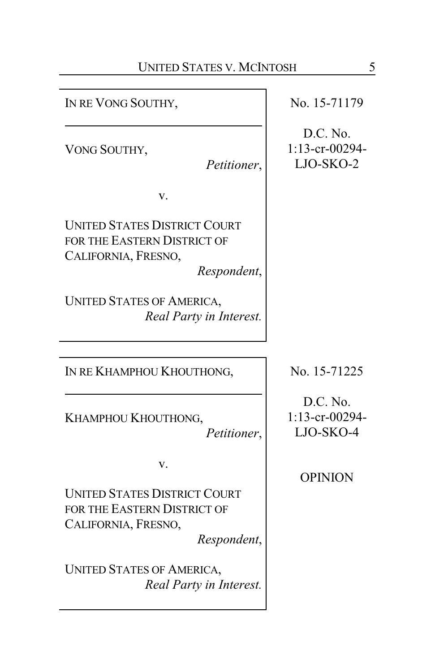IN RE VONG SOUTHY,

VONG SOUTHY,

*Petitioner*,

v.

UNITED STATES DISTRICT COURT FOR THE EASTERN DISTRICT OF CALIFORNIA, FRESNO,

*Respondent*,

UNITED STATES OF AMERICA, *Real Party in Interest.*

IN RE KHAMPHOU KHOUTHONG,

KHAMPHOU KHOUTHONG,

*Petitioner*,

v.

UNITED STATES DISTRICT COURT FOR THE EASTERN DISTRICT OF CALIFORNIA, FRESNO,

*Respondent*,

UNITED STATES OF AMERICA, *Real Party in Interest.* No. 15-71179

D.C. No. 1:13-cr-00294- LJO-SKO-2

No. 15-71225

D.C. No. 1:13-cr-00294- LJO-SKO-4

OPINION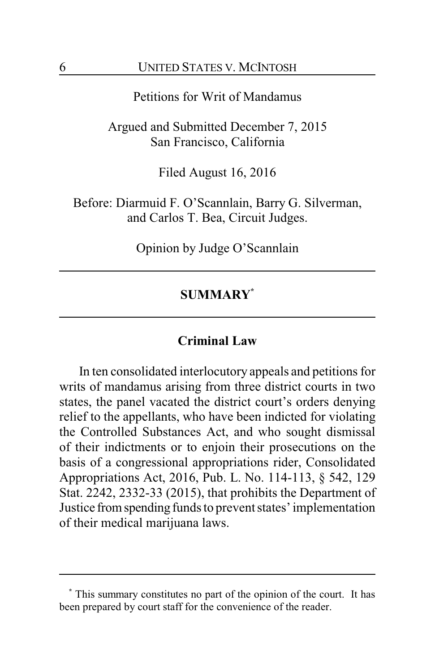## Petitions for Writ of Mandamus

Argued and Submitted December 7, 2015 San Francisco, California

Filed August 16, 2016

Before: Diarmuid F. O'Scannlain, Barry G. Silverman, and Carlos T. Bea, Circuit Judges.

Opinion by Judge O'Scannlain

## **SUMMARY\***

## **Criminal Law**

In ten consolidated interlocutory appeals and petitions for writs of mandamus arising from three district courts in two states, the panel vacated the district court's orders denying relief to the appellants, who have been indicted for violating the Controlled Substances Act, and who sought dismissal of their indictments or to enjoin their prosecutions on the basis of a congressional appropriations rider, Consolidated Appropriations Act, 2016, Pub. L. No. 114-113, § 542, 129 Stat. 2242, 2332-33 (2015), that prohibits the Department of Justice fromspending funds to prevent states' implementation of their medical marijuana laws.

**<sup>\*</sup>** This summary constitutes no part of the opinion of the court. It has been prepared by court staff for the convenience of the reader.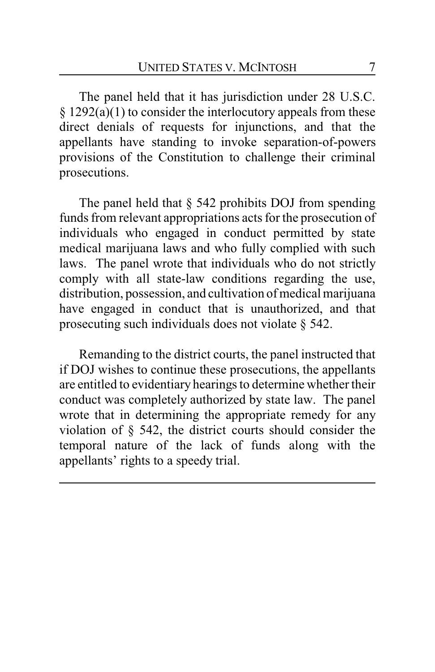The panel held that it has jurisdiction under 28 U.S.C.  $§ 1292(a)(1)$  to consider the interlocutory appeals from these direct denials of requests for injunctions, and that the appellants have standing to invoke separation-of-powers provisions of the Constitution to challenge their criminal prosecutions.

The panel held that  $\S$  542 prohibits DOJ from spending funds from relevant appropriations acts for the prosecution of individuals who engaged in conduct permitted by state medical marijuana laws and who fully complied with such laws. The panel wrote that individuals who do not strictly comply with all state-law conditions regarding the use, distribution, possession, and cultivation of medical marijuana have engaged in conduct that is unauthorized, and that prosecuting such individuals does not violate § 542.

Remanding to the district courts, the panel instructed that if DOJ wishes to continue these prosecutions, the appellants are entitled to evidentiary hearings to determine whether their conduct was completely authorized by state law. The panel wrote that in determining the appropriate remedy for any violation of § 542, the district courts should consider the temporal nature of the lack of funds along with the appellants' rights to a speedy trial.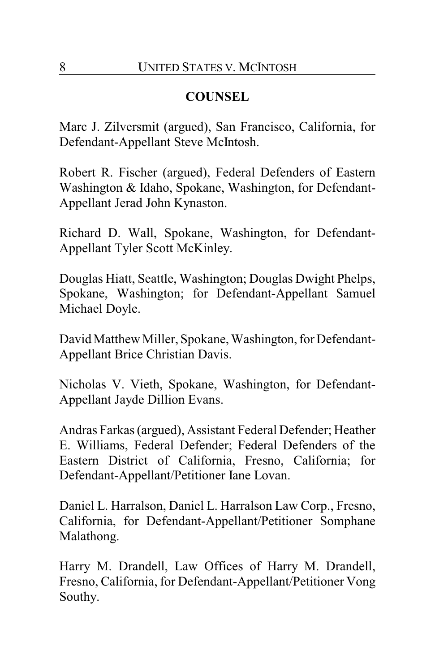# **COUNSEL**

Marc J. Zilversmit (argued), San Francisco, California, for Defendant-Appellant Steve McIntosh.

Robert R. Fischer (argued), Federal Defenders of Eastern Washington & Idaho, Spokane, Washington, for Defendant-Appellant Jerad John Kynaston.

Richard D. Wall, Spokane, Washington, for Defendant-Appellant Tyler Scott McKinley.

Douglas Hiatt, Seattle, Washington; Douglas Dwight Phelps, Spokane, Washington; for Defendant-Appellant Samuel Michael Doyle.

David Matthew Miller, Spokane, Washington, for Defendant-Appellant Brice Christian Davis.

Nicholas V. Vieth, Spokane, Washington, for Defendant-Appellant Jayde Dillion Evans.

Andras Farkas (argued), Assistant Federal Defender; Heather E. Williams, Federal Defender; Federal Defenders of the Eastern District of California, Fresno, California; for Defendant-Appellant/Petitioner Iane Lovan.

Daniel L. Harralson, Daniel L. Harralson Law Corp., Fresno, California, for Defendant-Appellant/Petitioner Somphane Malathong.

Harry M. Drandell, Law Offices of Harry M. Drandell, Fresno, California, for Defendant-Appellant/Petitioner Vong Southy.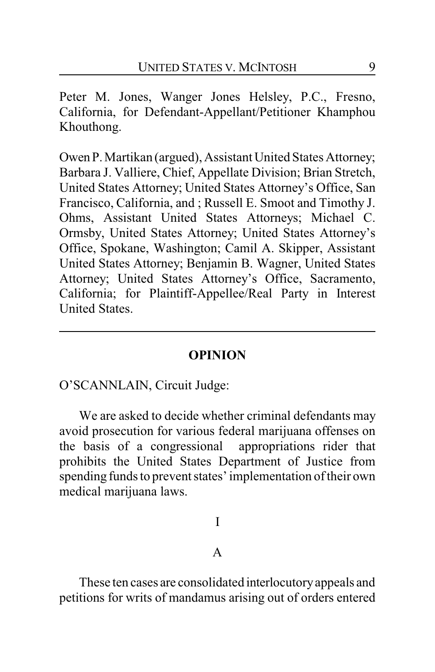Peter M. Jones, Wanger Jones Helsley, P.C., Fresno, California, for Defendant-Appellant/Petitioner Khamphou Khouthong.

Owen P.Martikan (argued), Assistant United States Attorney; Barbara J. Valliere, Chief, Appellate Division; Brian Stretch, United States Attorney; United States Attorney's Office, San Francisco, California, and ; Russell E. Smoot and Timothy J. Ohms, Assistant United States Attorneys; Michael C. Ormsby, United States Attorney; United States Attorney's Office, Spokane, Washington; Camil A. Skipper, Assistant United States Attorney; Benjamin B. Wagner, United States Attorney; United States Attorney's Office, Sacramento, California; for Plaintiff-Appellee/Real Party in Interest United States.

## **OPINION**

O'SCANNLAIN, Circuit Judge:

We are asked to decide whether criminal defendants may avoid prosecution for various federal marijuana offenses on the basis of a congressional appropriations rider that prohibits the United States Department of Justice from spending funds to prevent states' implementation of their own medical marijuana laws.

## I

## A

These ten cases are consolidated interlocutoryappeals and petitions for writs of mandamus arising out of orders entered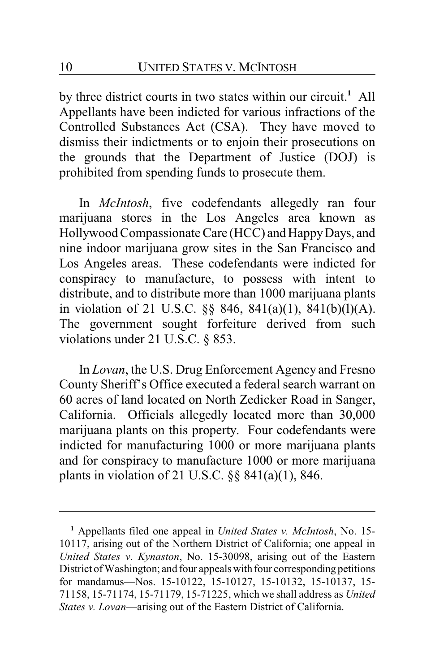by three district courts in two states within our circuit.**<sup>1</sup>** All Appellants have been indicted for various infractions of the Controlled Substances Act (CSA). They have moved to dismiss their indictments or to enjoin their prosecutions on the grounds that the Department of Justice (DOJ) is prohibited from spending funds to prosecute them.

In *McIntosh*, five codefendants allegedly ran four marijuana stores in the Los Angeles area known as Hollywood Compassionate Care (HCC) and Happy Days, and nine indoor marijuana grow sites in the San Francisco and Los Angeles areas. These codefendants were indicted for conspiracy to manufacture, to possess with intent to distribute, and to distribute more than 1000 marijuana plants in violation of 21 U.S.C. §§ 846, 841(a)(1), 841(b)(l)(A). The government sought forfeiture derived from such violations under 21 U.S.C. § 853.

In *Lovan*, the U.S. Drug Enforcement Agency and Fresno County Sheriff's Office executed a federal search warrant on 60 acres of land located on North Zedicker Road in Sanger, California. Officials allegedly located more than 30,000 marijuana plants on this property. Four codefendants were indicted for manufacturing 1000 or more marijuana plants and for conspiracy to manufacture 1000 or more marijuana plants in violation of 21 U.S.C. §§ 841(a)(1), 846.

**<sup>1</sup>** Appellants filed one appeal in *United States v. McIntosh*, No. 15- 10117, arising out of the Northern District of California; one appeal in *United States v. Kynaston*, No. 15-30098, arising out of the Eastern District ofWashington; and four appeals with four corresponding petitions for mandamus—Nos. 15-10122, 15-10127, 15-10132, 15-10137, 15- 71158, 15-71174, 15-71179, 15-71225, which we shall address as *United States v. Lovan*—arising out of the Eastern District of California.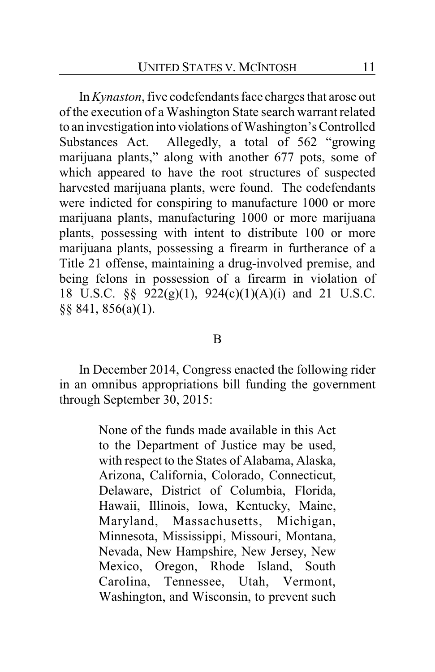In *Kynaston*, five codefendants face charges that arose out of the execution of a Washington State search warrant related to an investigation into violations of Washington's Controlled Substances Act. Allegedly, a total of 562 "growing marijuana plants," along with another 677 pots, some of which appeared to have the root structures of suspected harvested marijuana plants, were found. The codefendants were indicted for conspiring to manufacture 1000 or more marijuana plants, manufacturing 1000 or more marijuana plants, possessing with intent to distribute 100 or more marijuana plants, possessing a firearm in furtherance of a Title 21 offense, maintaining a drug-involved premise, and being felons in possession of a firearm in violation of 18 U.S.C. §§ 922(g)(1), 924(c)(1)(A)(i) and 21 U.S.C. §§ 841, 856(a)(1).

#### B

In December 2014, Congress enacted the following rider in an omnibus appropriations bill funding the government through September 30, 2015:

> None of the funds made available in this Act to the Department of Justice may be used, with respect to the States of Alabama, Alaska, Arizona, California, Colorado, Connecticut, Delaware, District of Columbia, Florida, Hawaii, Illinois, Iowa, Kentucky, Maine, Maryland, Massachusetts, Michigan, Minnesota, Mississippi, Missouri, Montana, Nevada, New Hampshire, New Jersey, New Mexico, Oregon, Rhode Island, South Carolina, Tennessee, Utah, Vermont, Washington, and Wisconsin, to prevent such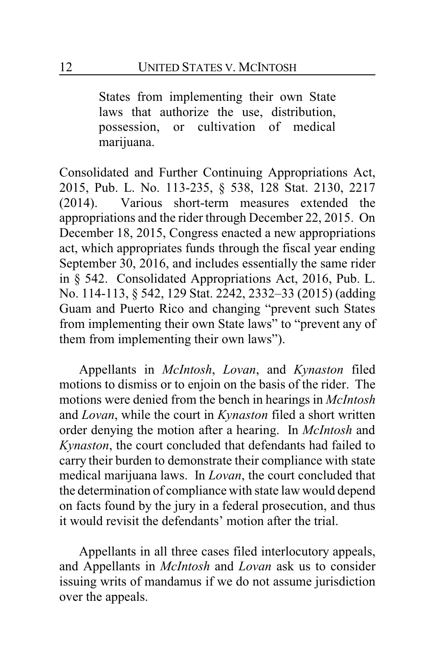States from implementing their own State laws that authorize the use, distribution, possession, or cultivation of medical marijuana.

Consolidated and Further Continuing Appropriations Act, 2015, Pub. L. No. 113-235, § 538, 128 Stat. 2130, 2217 (2014). Various short-term measures extended the appropriations and the rider through December 22, 2015. On December 18, 2015, Congress enacted a new appropriations act, which appropriates funds through the fiscal year ending September 30, 2016, and includes essentially the same rider in § 542. Consolidated Appropriations Act, 2016, Pub. L. No. 114-113, § 542, 129 Stat. 2242, 2332–33 (2015) (adding Guam and Puerto Rico and changing "prevent such States from implementing their own State laws" to "prevent any of them from implementing their own laws").

Appellants in *McIntosh*, *Lovan*, and *Kynaston* filed motions to dismiss or to enjoin on the basis of the rider. The motions were denied from the bench in hearings in *McIntosh* and *Lovan*, while the court in *Kynaston* filed a short written order denying the motion after a hearing. In *McIntosh* and *Kynaston*, the court concluded that defendants had failed to carry their burden to demonstrate their compliance with state medical marijuana laws. In *Lovan*, the court concluded that the determination of compliance with state law would depend on facts found by the jury in a federal prosecution, and thus it would revisit the defendants' motion after the trial.

Appellants in all three cases filed interlocutory appeals, and Appellants in *McIntosh* and *Lovan* ask us to consider issuing writs of mandamus if we do not assume jurisdiction over the appeals.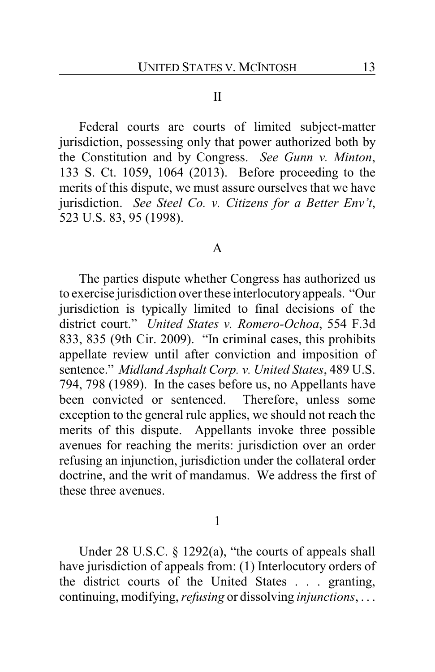#### II

Federal courts are courts of limited subject-matter jurisdiction, possessing only that power authorized both by the Constitution and by Congress. *See Gunn v. Minton*, 133 S. Ct. 1059, 1064 (2013). Before proceeding to the merits of this dispute, we must assure ourselves that we have jurisdiction. *See Steel Co. v. Citizens for a Better Env't*, 523 U.S. 83, 95 (1998).

#### A

The parties dispute whether Congress has authorized us to exercise jurisdiction over these interlocutoryappeals. "Our jurisdiction is typically limited to final decisions of the district court." *United States v. Romero-Ochoa*, 554 F.3d 833, 835 (9th Cir. 2009). "In criminal cases, this prohibits appellate review until after conviction and imposition of sentence." *Midland Asphalt Corp. v. United States*, 489 U.S. 794, 798 (1989). In the cases before us, no Appellants have been convicted or sentenced. Therefore, unless some exception to the general rule applies, we should not reach the merits of this dispute. Appellants invoke three possible avenues for reaching the merits: jurisdiction over an order refusing an injunction, jurisdiction under the collateral order doctrine, and the writ of mandamus. We address the first of these three avenues.

1

Under 28 U.S.C. § 1292(a), "the courts of appeals shall have jurisdiction of appeals from: (1) Interlocutory orders of the district courts of the United States . . . granting, continuing, modifying, *refusing* or dissolving *injunctions*, . . .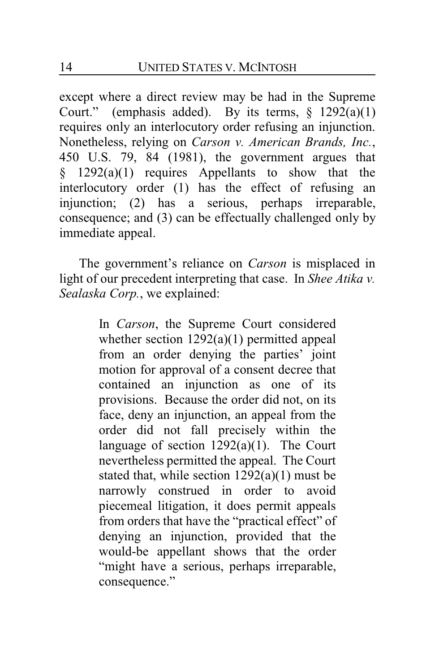except where a direct review may be had in the Supreme Court." (emphasis added). By its terms,  $\S$  1292(a)(1) requires only an interlocutory order refusing an injunction. Nonetheless, relying on *Carson v. American Brands, Inc.*, 450 U.S. 79, 84 (1981), the government argues that § 1292(a)(1) requires Appellants to show that the interlocutory order (1) has the effect of refusing an injunction; (2) has a serious, perhaps irreparable, consequence; and (3) can be effectually challenged only by immediate appeal.

The government's reliance on *Carson* is misplaced in light of our precedent interpreting that case. In *Shee Atika v. Sealaska Corp.*, we explained:

> In *Carson*, the Supreme Court considered whether section 1292(a)(1) permitted appeal from an order denying the parties' joint motion for approval of a consent decree that contained an injunction as one of its provisions. Because the order did not, on its face, deny an injunction, an appeal from the order did not fall precisely within the language of section  $1292(a)(1)$ . The Court nevertheless permitted the appeal. The Court stated that, while section 1292(a)(1) must be narrowly construed in order to avoid piecemeal litigation, it does permit appeals from orders that have the "practical effect" of denying an injunction, provided that the would-be appellant shows that the order "might have a serious, perhaps irreparable, consequence."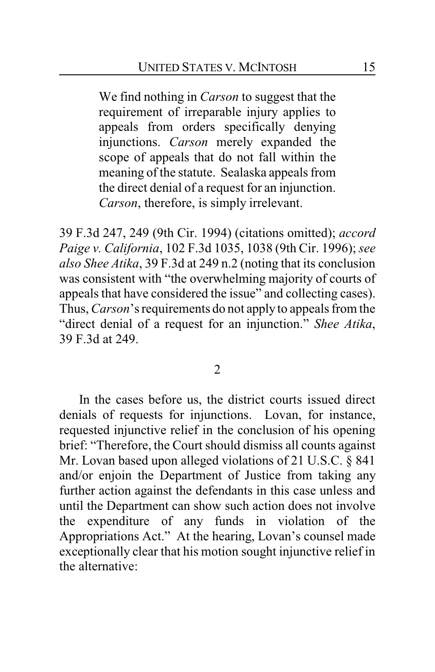We find nothing in *Carson* to suggest that the requirement of irreparable injury applies to appeals from orders specifically denying injunctions. *Carson* merely expanded the scope of appeals that do not fall within the meaning of the statute. Sealaska appeals from the direct denial of a request for an injunction. *Carson*, therefore, is simply irrelevant.

39 F.3d 247, 249 (9th Cir. 1994) (citations omitted); *accord Paige v. California*, 102 F.3d 1035, 1038 (9th Cir. 1996); *see also Shee Atika*, 39 F.3d at 249 n.2 (noting that its conclusion was consistent with "the overwhelming majority of courts of appeals that have considered the issue" and collecting cases). Thus, *Carson*'s requirements do not apply to appeals from the "direct denial of a request for an injunction." *Shee Atika*, 39 F.3d at 249.

2

In the cases before us, the district courts issued direct denials of requests for injunctions. Lovan, for instance, requested injunctive relief in the conclusion of his opening brief: "Therefore, the Court should dismiss all counts against Mr. Lovan based upon alleged violations of 21 U.S.C. § 841 and/or enjoin the Department of Justice from taking any further action against the defendants in this case unless and until the Department can show such action does not involve the expenditure of any funds in violation of the Appropriations Act." At the hearing, Lovan's counsel made exceptionally clear that his motion sought injunctive relief in the alternative: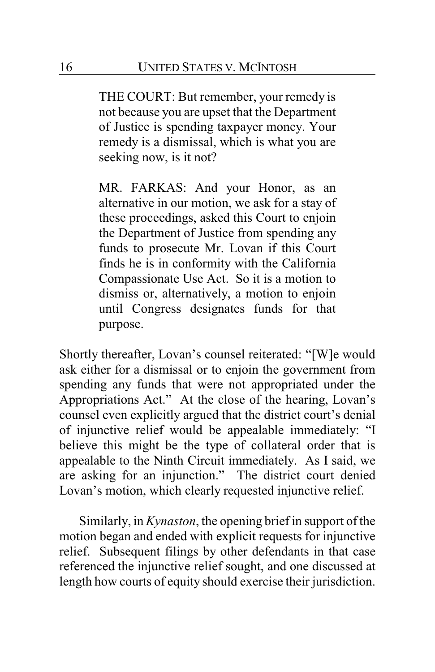THE COURT: But remember, your remedy is not because you are upset that the Department of Justice is spending taxpayer money. Your remedy is a dismissal, which is what you are seeking now, is it not?

MR. FARKAS: And your Honor, as an alternative in our motion, we ask for a stay of these proceedings, asked this Court to enjoin the Department of Justice from spending any funds to prosecute Mr. Lovan if this Court finds he is in conformity with the California Compassionate Use Act. So it is a motion to dismiss or, alternatively, a motion to enjoin until Congress designates funds for that purpose.

Shortly thereafter, Lovan's counsel reiterated: "[W]e would ask either for a dismissal or to enjoin the government from spending any funds that were not appropriated under the Appropriations Act." At the close of the hearing, Lovan's counsel even explicitly argued that the district court's denial of injunctive relief would be appealable immediately: "I believe this might be the type of collateral order that is appealable to the Ninth Circuit immediately. As I said, we are asking for an injunction." The district court denied Lovan's motion, which clearly requested injunctive relief.

Similarly, in *Kynaston*, the opening brief in support of the motion began and ended with explicit requests for injunctive relief. Subsequent filings by other defendants in that case referenced the injunctive relief sought, and one discussed at length how courts of equity should exercise their jurisdiction.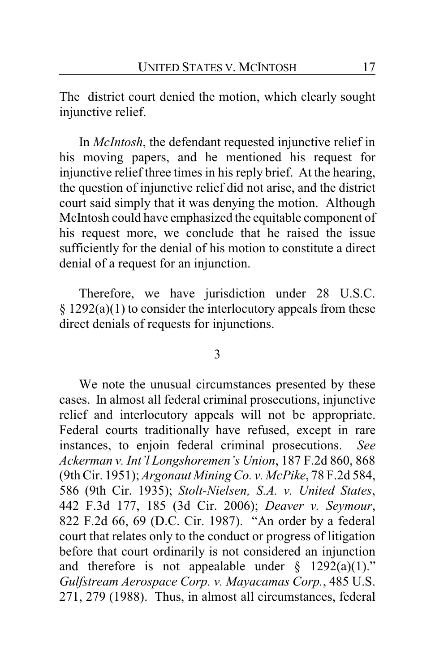The district court denied the motion, which clearly sought injunctive relief.

In *McIntosh*, the defendant requested injunctive relief in his moving papers, and he mentioned his request for injunctive relief three times in his reply brief. At the hearing, the question of injunctive relief did not arise, and the district court said simply that it was denying the motion. Although McIntosh could have emphasized the equitable component of his request more, we conclude that he raised the issue sufficiently for the denial of his motion to constitute a direct denial of a request for an injunction.

Therefore, we have jurisdiction under 28 U.S.C.  $§ 1292(a)(1)$  to consider the interlocutory appeals from these direct denials of requests for injunctions.

#### 3

We note the unusual circumstances presented by these cases. In almost all federal criminal prosecutions, injunctive relief and interlocutory appeals will not be appropriate. Federal courts traditionally have refused, except in rare instances, to enjoin federal criminal prosecutions. *See Ackerman v. Int'l Longshoremen's Union*, 187 F.2d 860, 868 (9th Cir. 1951); *Argonaut Mining Co. v. McPike*, 78 F.2d 584, 586 (9th Cir. 1935); *Stolt-Nielsen, S.A. v. United States*, 442 F.3d 177, 185 (3d Cir. 2006); *Deaver v. Seymour*, 822 F.2d 66, 69 (D.C. Cir. 1987). "An order by a federal court that relates only to the conduct or progress of litigation before that court ordinarily is not considered an injunction and therefore is not appealable under  $\S$  1292(a)(1)." *Gulfstream Aerospace Corp. v. Mayacamas Corp.*, 485 U.S. 271, 279 (1988). Thus, in almost all circumstances, federal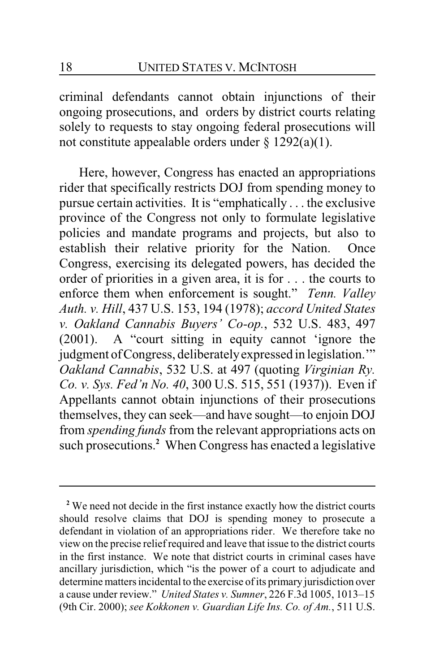criminal defendants cannot obtain injunctions of their ongoing prosecutions, and orders by district courts relating solely to requests to stay ongoing federal prosecutions will not constitute appealable orders under  $\S$  1292(a)(1).

Here, however, Congress has enacted an appropriations rider that specifically restricts DOJ from spending money to pursue certain activities. It is "emphatically . . . the exclusive province of the Congress not only to formulate legislative policies and mandate programs and projects, but also to establish their relative priority for the Nation. Once Congress, exercising its delegated powers, has decided the order of priorities in a given area, it is for . . . the courts to enforce them when enforcement is sought." *Tenn. Valley Auth. v. Hill*, 437 U.S. 153, 194 (1978); *accord United States v. Oakland Cannabis Buyers' Co-op.*, 532 U.S. 483, 497 (2001). A "court sitting in equity cannot 'ignore the judgment of Congress, deliberately expressed in legislation." *Oakland Cannabis*, 532 U.S. at 497 (quoting *Virginian Ry. Co. v. Sys. Fed'n No. 40*, 300 U.S. 515, 551 (1937)). Even if Appellants cannot obtain injunctions of their prosecutions themselves, they can seek—and have sought—to enjoin DOJ from *spending funds*from the relevant appropriations acts on such prosecutions.**<sup>2</sup>** When Congress has enacted a legislative

**<sup>2</sup>** We need not decide in the first instance exactly how the district courts should resolve claims that DOJ is spending money to prosecute a defendant in violation of an appropriations rider. We therefore take no view on the precise relief required and leave that issue to the district courts in the first instance. We note that district courts in criminal cases have ancillary jurisdiction, which "is the power of a court to adjudicate and determine matters incidental to the exercise of its primary jurisdiction over a cause under review." *United States v. Sumner*, 226 F.3d 1005, 1013–15 (9th Cir. 2000); *see Kokkonen v. Guardian Life Ins. Co. of Am.*, 511 U.S.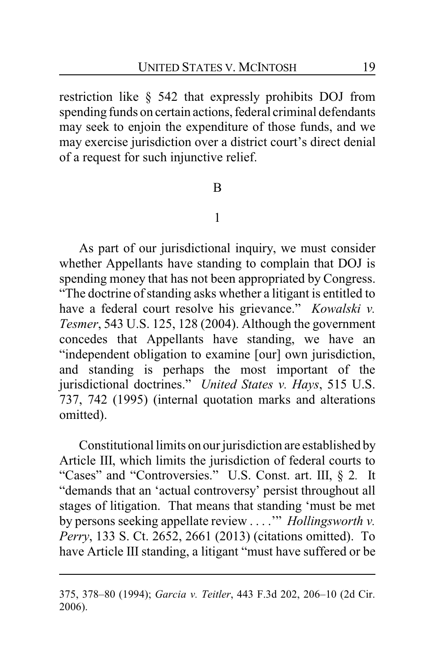restriction like § 542 that expressly prohibits DOJ from spending funds on certain actions, federal criminal defendants may seek to enjoin the expenditure of those funds, and we may exercise jurisdiction over a district court's direct denial of a request for such injunctive relief.

#### B

## 1

As part of our jurisdictional inquiry, we must consider whether Appellants have standing to complain that DOJ is spending money that has not been appropriated by Congress. "The doctrine of standing asks whether a litigant is entitled to have a federal court resolve his grievance." *Kowalski v. Tesmer*, 543 U.S. 125, 128 (2004). Although the government concedes that Appellants have standing, we have an "independent obligation to examine [our] own jurisdiction, and standing is perhaps the most important of the jurisdictional doctrines." *United States v. Hays*, 515 U.S. 737, 742 (1995) (internal quotation marks and alterations omitted).

Constitutional limits on our jurisdiction are established by Article III, which limits the jurisdiction of federal courts to "Cases" and "Controversies." U.S. Const. art. III, § 2*.* It "demands that an 'actual controversy' persist throughout all stages of litigation. That means that standing 'must be met by persons seeking appellate review . . . .'" *Hollingsworth v. Perry*, 133 S. Ct. 2652, 2661 (2013) (citations omitted). To have Article III standing, a litigant "must have suffered or be

<sup>375, 378–80</sup> (1994); *Garcia v. Teitler*, 443 F.3d 202, 206–10 (2d Cir. 2006).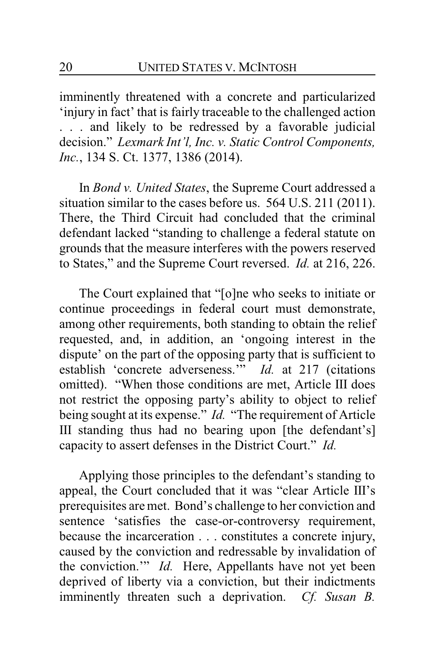imminently threatened with a concrete and particularized 'injury in fact' that is fairly traceable to the challenged action . . . and likely to be redressed by a favorable judicial decision." *Lexmark Int'l, Inc. v. Static Control Components, Inc.*, 134 S. Ct. 1377, 1386 (2014).

In *Bond v. United States*, the Supreme Court addressed a situation similar to the cases before us. 564 U.S. 211 (2011). There, the Third Circuit had concluded that the criminal defendant lacked "standing to challenge a federal statute on grounds that the measure interferes with the powers reserved to States," and the Supreme Court reversed. *Id.* at 216, 226.

The Court explained that "[o]ne who seeks to initiate or continue proceedings in federal court must demonstrate, among other requirements, both standing to obtain the relief requested, and, in addition, an 'ongoing interest in the dispute' on the part of the opposing party that is sufficient to establish 'concrete adverseness."<sup>,</sup> *Id.* at 217 (citations omitted). "When those conditions are met, Article III does not restrict the opposing party's ability to object to relief being sought at its expense." *Id.* "The requirement of Article III standing thus had no bearing upon [the defendant's] capacity to assert defenses in the District Court." *Id.*

Applying those principles to the defendant's standing to appeal, the Court concluded that it was "clear Article III's prerequisites are met. Bond's challenge to her conviction and sentence 'satisfies the case-or-controversy requirement, because the incarceration . . . constitutes a concrete injury, caused by the conviction and redressable by invalidation of the conviction.'" *Id.* Here, Appellants have not yet been deprived of liberty via a conviction, but their indictments imminently threaten such a deprivation. *Cf. Susan B.*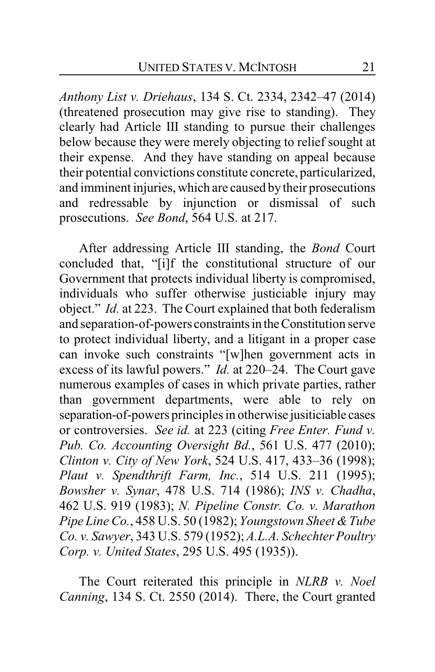*Anthony List v. Driehaus*, 134 S. Ct. 2334, 2342–47 (2014) (threatened prosecution may give rise to standing). They clearly had Article III standing to pursue their challenges below because they were merely objecting to relief sought at their expense. And they have standing on appeal because their potential convictions constitute concrete, particularized, and imminent injuries, which are caused by their prosecutions and redressable by injunction or dismissal of such prosecutions. *See Bond*, 564 U.S. at 217.

After addressing Article III standing, the *Bond* Court concluded that, "[i]f the constitutional structure of our Government that protects individual liberty is compromised, individuals who suffer otherwise justiciable injury may object." *Id.* at 223. The Court explained that both federalism and separation-of-powers constraints in the Constitution serve to protect individual liberty, and a litigant in a proper case can invoke such constraints "[w]hen government acts in excess of its lawful powers." *Id.* at 220–24. The Court gave numerous examples of cases in which private parties, rather than government departments, were able to rely on separation-of-powers principles in otherwise jusiticiable cases or controversies. *See id.* at 223 (citing *Free Enter. Fund v. Pub. Co. Accounting Oversight Bd.*, 561 U.S. 477 (2010); *Clinton v. City of New York*, 524 U.S. 417, 433–36 (1998); *Plaut v. Spendthrift Farm, Inc.*, 514 U.S. 211 (1995); *Bowsher v. Synar*, 478 U.S. 714 (1986); *INS v. Chadha*, 462 U.S. 919 (1983); *N. Pipeline Constr. Co. v. Marathon Pipe Line Co.*, 458 U.S. 50 (1982); *Youngstown Sheet &Tube Co. v. Sawyer*, 343 U.S. 579 (1952); *A.L.A. Schechter Poultry Corp. v. United States*, 295 U.S. 495 (1935)).

The Court reiterated this principle in *NLRB v. Noel Canning*, 134 S. Ct. 2550 (2014). There, the Court granted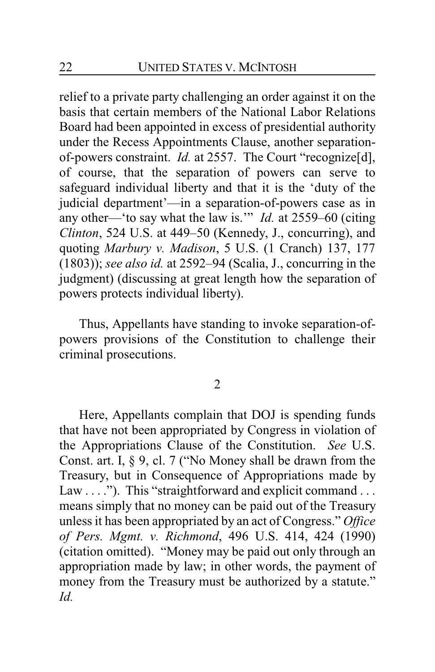relief to a private party challenging an order against it on the basis that certain members of the National Labor Relations Board had been appointed in excess of presidential authority under the Recess Appointments Clause, another separationof-powers constraint. *Id.* at 2557. The Court "recognize[d], of course, that the separation of powers can serve to safeguard individual liberty and that it is the 'duty of the judicial department'—in a separation-of-powers case as in any other—'to say what the law is.'" *Id.* at 2559–60 (citing *Clinton*, 524 U.S. at 449–50 (Kennedy, J., concurring), and quoting *Marbury v. Madison*, 5 U.S. (1 Cranch) 137, 177 (1803)); *see also id.* at 2592–94 (Scalia, J., concurring in the judgment) (discussing at great length how the separation of powers protects individual liberty).

Thus, Appellants have standing to invoke separation-ofpowers provisions of the Constitution to challenge their criminal prosecutions.

2

Here, Appellants complain that DOJ is spending funds that have not been appropriated by Congress in violation of the Appropriations Clause of the Constitution. *See* U.S. Const. art. I, § 9, cl. 7 ("No Money shall be drawn from the Treasury, but in Consequence of Appropriations made by Law . . . ."). This "straightforward and explicit command . . . means simply that no money can be paid out of the Treasury unless it has been appropriated by an act of Congress." *Office of Pers. Mgmt. v. Richmond*, 496 U.S. 414, 424 (1990) (citation omitted). "Money may be paid out only through an appropriation made by law; in other words, the payment of money from the Treasury must be authorized by a statute." *Id.*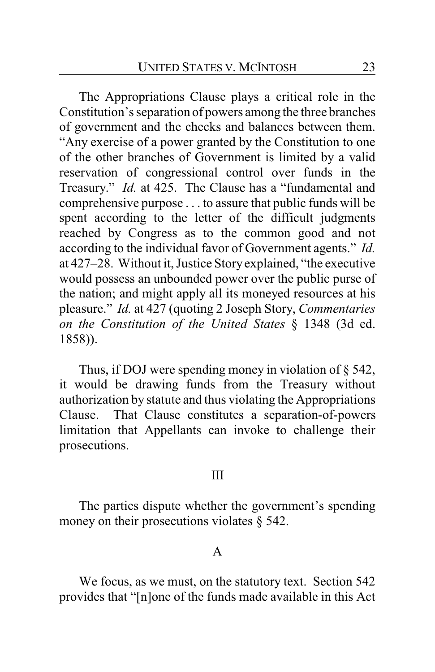The Appropriations Clause plays a critical role in the Constitution's separation of powers among the three branches of government and the checks and balances between them. "Any exercise of a power granted by the Constitution to one of the other branches of Government is limited by a valid reservation of congressional control over funds in the Treasury." *Id.* at 425. The Clause has a "fundamental and comprehensive purpose . . . to assure that public funds will be spent according to the letter of the difficult judgments reached by Congress as to the common good and not according to the individual favor of Government agents." *Id.* at 427–28. Without it, Justice Storyexplained, "the executive would possess an unbounded power over the public purse of the nation; and might apply all its moneyed resources at his pleasure." *Id.* at 427 (quoting 2 Joseph Story, *Commentaries on the Constitution of the United States* § 1348 (3d ed. 1858)).

Thus, if DOJ were spending money in violation of § 542, it would be drawing funds from the Treasury without authorization by statute and thus violating the Appropriations Clause. That Clause constitutes a separation-of-powers limitation that Appellants can invoke to challenge their prosecutions.

#### III

The parties dispute whether the government's spending money on their prosecutions violates § 542.

#### A

We focus, as we must, on the statutory text. Section 542 provides that "[n]one of the funds made available in this Act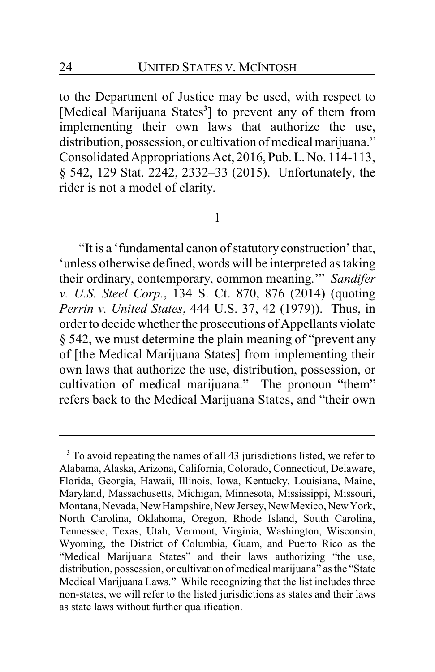to the Department of Justice may be used, with respect to [Medical Marijuana States**<sup>3</sup>** ] to prevent any of them from implementing their own laws that authorize the use, distribution, possession, or cultivation of medical marijuana." Consolidated Appropriations Act, 2016, Pub. L. No. 114-113, § 542, 129 Stat. 2242, 2332–33 (2015). Unfortunately, the rider is not a model of clarity.

#### 1

"It is a 'fundamental canon of statutory construction' that, 'unless otherwise defined, words will be interpreted as taking their ordinary, contemporary, common meaning.'" *Sandifer v. U.S. Steel Corp.*, 134 S. Ct. 870, 876 (2014) (quoting *Perrin v. United States*, 444 U.S. 37, 42 (1979)). Thus, in order to decide whether the prosecutions of Appellants violate § 542, we must determine the plain meaning of "prevent any of [the Medical Marijuana States] from implementing their own laws that authorize the use, distribution, possession, or cultivation of medical marijuana." The pronoun "them" refers back to the Medical Marijuana States, and "their own

**<sup>3</sup>** To avoid repeating the names of all 43 jurisdictions listed, we refer to Alabama, Alaska, Arizona, California, Colorado, Connecticut, Delaware, Florida, Georgia, Hawaii, Illinois, Iowa, Kentucky, Louisiana, Maine, Maryland, Massachusetts, Michigan, Minnesota, Mississippi, Missouri, Montana, Nevada, New Hampshire, New Jersey, New Mexico, New York, North Carolina, Oklahoma, Oregon, Rhode Island, South Carolina, Tennessee, Texas, Utah, Vermont, Virginia, Washington, Wisconsin, Wyoming, the District of Columbia, Guam, and Puerto Rico as the "Medical Marijuana States" and their laws authorizing "the use, distribution, possession, or cultivation of medical marijuana" as the "State Medical Marijuana Laws." While recognizing that the list includes three non-states, we will refer to the listed jurisdictions as states and their laws as state laws without further qualification.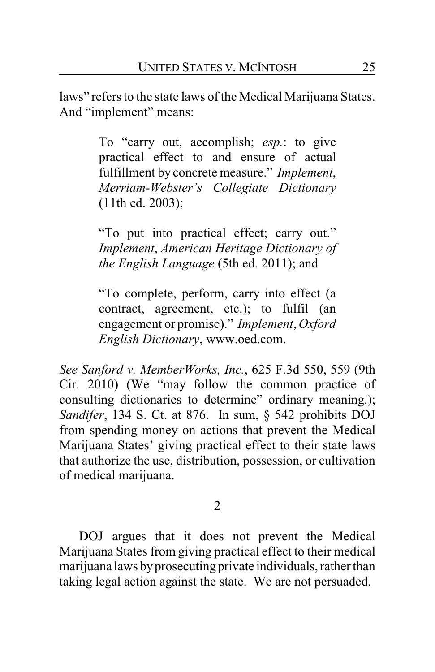laws" refers to the state laws of the Medical Marijuana States. And "implement" means:

> To "carry out, accomplish; *esp.*: to give practical effect to and ensure of actual fulfillment by concrete measure." *Implement*, *Merriam-Webster's Collegiate Dictionary* (11th ed. 2003);

> "To put into practical effect; carry out." *Implement*, *American Heritage Dictionary of the English Language* (5th ed. 2011); and

> "To complete, perform, carry into effect (a contract, agreement, etc.); to fulfil (an engagement or promise)." *Implement*, *Oxford English Dictionary*, www.oed.com.

*See Sanford v. MemberWorks, Inc.*, 625 F.3d 550, 559 (9th Cir. 2010) (We "may follow the common practice of consulting dictionaries to determine" ordinary meaning.); *Sandifer*, 134 S. Ct. at 876. In sum, § 542 prohibits DOJ from spending money on actions that prevent the Medical Marijuana States' giving practical effect to their state laws that authorize the use, distribution, possession, or cultivation of medical marijuana.

2

DOJ argues that it does not prevent the Medical Marijuana States from giving practical effect to their medical marijuana laws by prosecuting private individuals, rather than taking legal action against the state. We are not persuaded.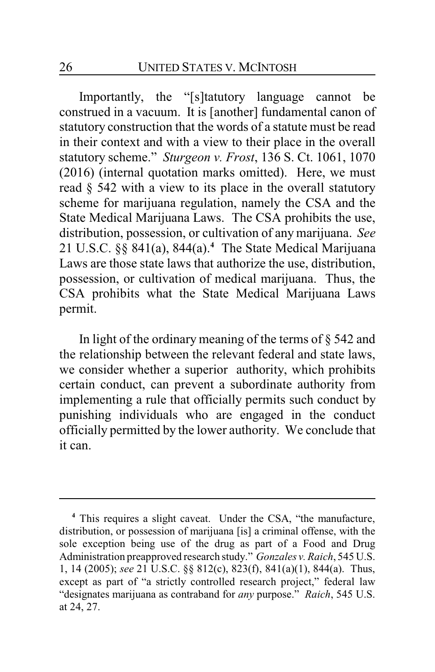Importantly, the "[s]tatutory language cannot be construed in a vacuum. It is [another] fundamental canon of statutory construction that the words of a statute must be read in their context and with a view to their place in the overall statutory scheme." *Sturgeon v. Frost*, 136 S. Ct. 1061, 1070 (2016) (internal quotation marks omitted). Here, we must read § 542 with a view to its place in the overall statutory scheme for marijuana regulation, namely the CSA and the State Medical Marijuana Laws. The CSA prohibits the use, distribution, possession, or cultivation of any marijuana. *See* 21 U.S.C. §§ 841(a), 844(a). **<sup>4</sup>** The State Medical Marijuana Laws are those state laws that authorize the use, distribution, possession, or cultivation of medical marijuana. Thus, the CSA prohibits what the State Medical Marijuana Laws permit.

In light of the ordinary meaning of the terms of § 542 and the relationship between the relevant federal and state laws, we consider whether a superior authority, which prohibits certain conduct, can prevent a subordinate authority from implementing a rule that officially permits such conduct by punishing individuals who are engaged in the conduct officially permitted by the lower authority. We conclude that it can.

**<sup>4</sup>** This requires a slight caveat. Under the CSA, "the manufacture, distribution, or possession of marijuana [is] a criminal offense, with the sole exception being use of the drug as part of a Food and Drug Administration preapproved research study." *Gonzales v. Raich*, 545 U.S. 1, 14 (2005); *see* 21 U.S.C. §§ 812(c), 823(f), 841(a)(1), 844(a). Thus, except as part of "a strictly controlled research project," federal law "designates marijuana as contraband for *any* purpose." *Raich*, 545 U.S. at 24, 27.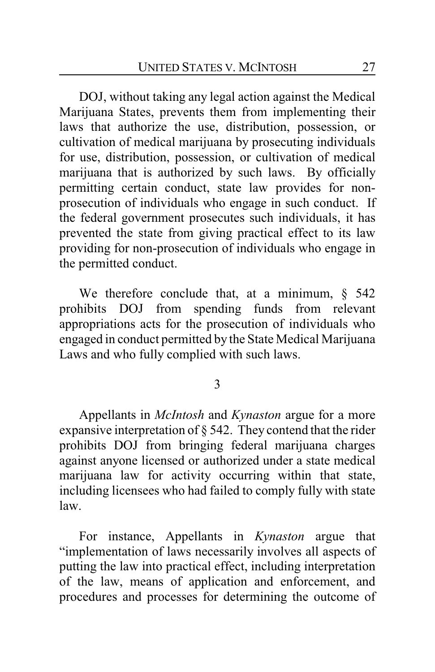DOJ, without taking any legal action against the Medical Marijuana States, prevents them from implementing their laws that authorize the use, distribution, possession, or cultivation of medical marijuana by prosecuting individuals for use, distribution, possession, or cultivation of medical marijuana that is authorized by such laws. By officially permitting certain conduct, state law provides for nonprosecution of individuals who engage in such conduct. If the federal government prosecutes such individuals, it has prevented the state from giving practical effect to its law providing for non-prosecution of individuals who engage in the permitted conduct.

We therefore conclude that, at a minimum,  $\S$  542 prohibits DOJ from spending funds from relevant appropriations acts for the prosecution of individuals who engaged in conduct permitted by the State Medical Marijuana Laws and who fully complied with such laws.

3

Appellants in *McIntosh* and *Kynaston* argue for a more expansive interpretation of § 542. They contend that the rider prohibits DOJ from bringing federal marijuana charges against anyone licensed or authorized under a state medical marijuana law for activity occurring within that state, including licensees who had failed to comply fully with state law.

For instance, Appellants in *Kynaston* argue that "implementation of laws necessarily involves all aspects of putting the law into practical effect, including interpretation of the law, means of application and enforcement, and procedures and processes for determining the outcome of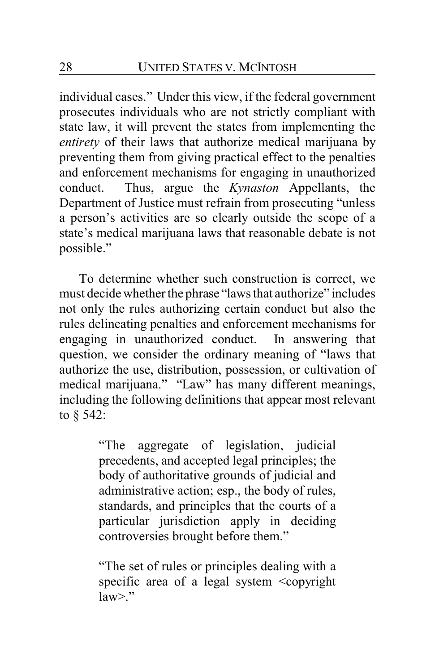individual cases." Under this view, if the federal government prosecutes individuals who are not strictly compliant with state law, it will prevent the states from implementing the *entirety* of their laws that authorize medical marijuana by preventing them from giving practical effect to the penalties and enforcement mechanisms for engaging in unauthorized conduct. Thus, argue the *Kynaston* Appellants, the Department of Justice must refrain from prosecuting "unless a person's activities are so clearly outside the scope of a state's medical marijuana laws that reasonable debate is not possible."

To determine whether such construction is correct, we must decide whether the phrase "laws that authorize" includes not only the rules authorizing certain conduct but also the rules delineating penalties and enforcement mechanisms for engaging in unauthorized conduct. In answering that question, we consider the ordinary meaning of "laws that authorize the use, distribution, possession, or cultivation of medical marijuana." "Law" has many different meanings, including the following definitions that appear most relevant to § 542:

> "The aggregate of legislation, judicial precedents, and accepted legal principles; the body of authoritative grounds of judicial and administrative action; esp., the body of rules, standards, and principles that the courts of a particular jurisdiction apply in deciding controversies brought before them."

> "The set of rules or principles dealing with a specific area of a legal system <copyright  $law>$ "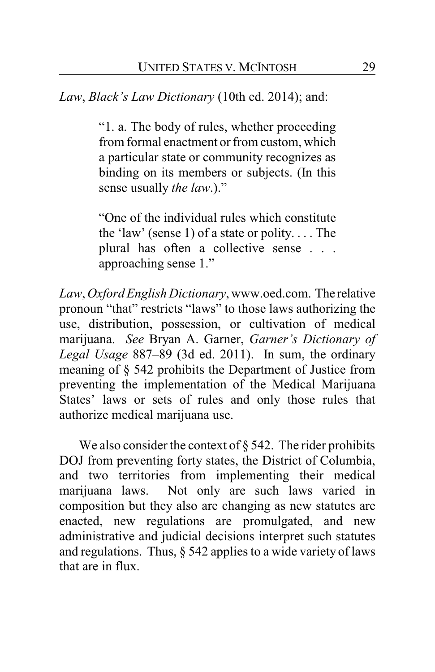*Law*, *Black's Law Dictionary* (10th ed. 2014); and:

"1. a. The body of rules, whether proceeding from formal enactment or from custom, which a particular state or community recognizes as binding on its members or subjects. (In this sense usually *the law*.)."

"One of the individual rules which constitute the 'law' (sense 1) of a state or polity. . . . The plural has often a collective sense . . . approaching sense 1."

*Law*, *Oxford English Dictionary*, www.oed.com. The relative pronoun "that" restricts "laws" to those laws authorizing the use, distribution, possession, or cultivation of medical marijuana. *See* Bryan A. Garner, *Garner's Dictionary of Legal Usage* 887–89 (3d ed. 2011). In sum, the ordinary meaning of § 542 prohibits the Department of Justice from preventing the implementation of the Medical Marijuana States' laws or sets of rules and only those rules that authorize medical marijuana use.

We also consider the context of  $\S$  542. The rider prohibits DOJ from preventing forty states, the District of Columbia, and two territories from implementing their medical marijuana laws. Not only are such laws varied in composition but they also are changing as new statutes are enacted, new regulations are promulgated, and new administrative and judicial decisions interpret such statutes and regulations. Thus,  $\S$  542 applies to a wide variety of laws that are in flux.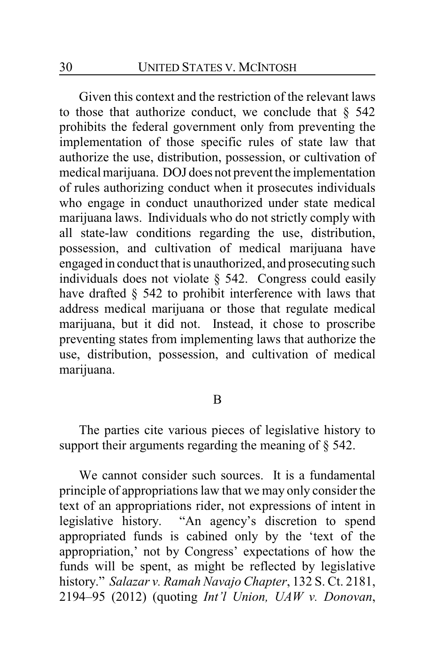Given this context and the restriction of the relevant laws to those that authorize conduct, we conclude that  $\S$  542 prohibits the federal government only from preventing the implementation of those specific rules of state law that authorize the use, distribution, possession, or cultivation of medical marijuana. DOJ does not prevent the implementation of rules authorizing conduct when it prosecutes individuals who engage in conduct unauthorized under state medical marijuana laws. Individuals who do not strictly comply with all state-law conditions regarding the use, distribution, possession, and cultivation of medical marijuana have engaged in conduct that is unauthorized, and prosecuting such individuals does not violate § 542. Congress could easily have drafted § 542 to prohibit interference with laws that address medical marijuana or those that regulate medical marijuana, but it did not. Instead, it chose to proscribe preventing states from implementing laws that authorize the use, distribution, possession, and cultivation of medical marijuana.

#### B

The parties cite various pieces of legislative history to support their arguments regarding the meaning of § 542.

We cannot consider such sources. It is a fundamental principle of appropriations law that we may only consider the text of an appropriations rider, not expressions of intent in legislative history. "An agency's discretion to spend appropriated funds is cabined only by the 'text of the appropriation,' not by Congress' expectations of how the funds will be spent, as might be reflected by legislative history." *Salazar v. Ramah Navajo Chapter*, 132 S. Ct. 2181, 2194–95 (2012) (quoting *Int'l Union, UAW v. Donovan*,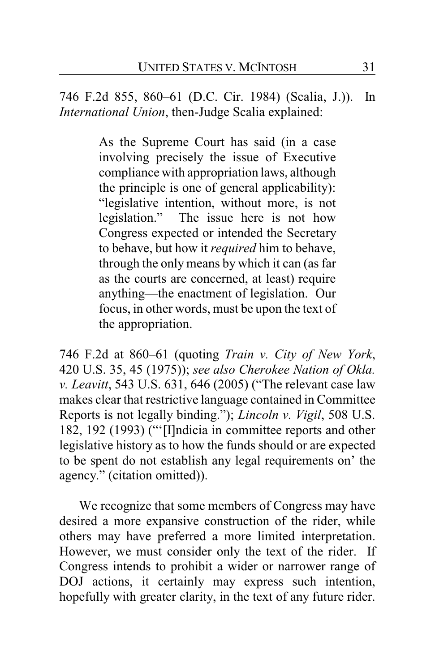746 F.2d 855, 860–61 (D.C. Cir. 1984) (Scalia, J.)). In *International Union*, then-Judge Scalia explained:

> As the Supreme Court has said (in a case involving precisely the issue of Executive compliance with appropriation laws, although the principle is one of general applicability): "legislative intention, without more, is not<br>legislation." The issue here is not how The issue here is not how Congress expected or intended the Secretary to behave, but how it *required* him to behave, through the only means by which it can (as far as the courts are concerned, at least) require anything—the enactment of legislation. Our focus, in other words, must be upon the text of the appropriation.

746 F.2d at 860–61 (quoting *Train v. City of New York*, 420 U.S. 35, 45 (1975)); *see also Cherokee Nation of Okla. v. Leavitt*, 543 U.S. 631, 646 (2005) ("The relevant case law makes clear that restrictive language contained in Committee Reports is not legally binding."); *Lincoln v. Vigil*, 508 U.S. 182, 192 (1993) ("'[I]ndicia in committee reports and other legislative history as to how the funds should or are expected to be spent do not establish any legal requirements on' the agency." (citation omitted)).

We recognize that some members of Congress may have desired a more expansive construction of the rider, while others may have preferred a more limited interpretation. However, we must consider only the text of the rider. If Congress intends to prohibit a wider or narrower range of DOJ actions, it certainly may express such intention, hopefully with greater clarity, in the text of any future rider.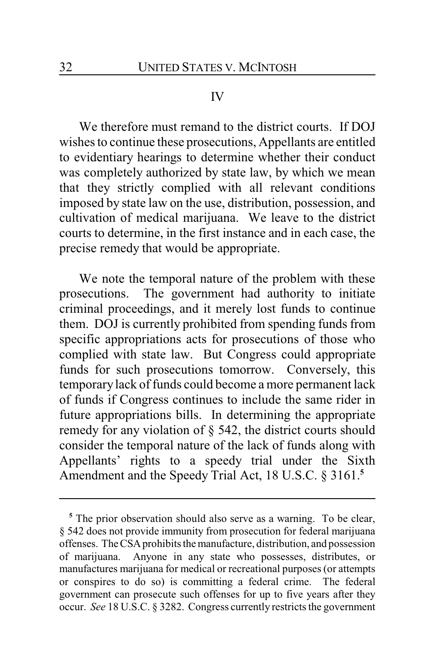#### IV

We therefore must remand to the district courts. If DOJ wishes to continue these prosecutions, Appellants are entitled to evidentiary hearings to determine whether their conduct was completely authorized by state law, by which we mean that they strictly complied with all relevant conditions imposed by state law on the use, distribution, possession, and cultivation of medical marijuana. We leave to the district courts to determine, in the first instance and in each case, the precise remedy that would be appropriate.

We note the temporal nature of the problem with these prosecutions. The government had authority to initiate criminal proceedings, and it merely lost funds to continue them. DOJ is currently prohibited from spending funds from specific appropriations acts for prosecutions of those who complied with state law. But Congress could appropriate funds for such prosecutions tomorrow. Conversely, this temporary lack of funds could become a more permanent lack of funds if Congress continues to include the same rider in future appropriations bills. In determining the appropriate remedy for any violation of § 542, the district courts should consider the temporal nature of the lack of funds along with Appellants' rights to a speedy trial under the Sixth Amendment and the Speedy Trial Act, 18 U.S.C. § 3161.**<sup>5</sup>**

**<sup>5</sup>** The prior observation should also serve as a warning. To be clear, § 542 does not provide immunity from prosecution for federal marijuana offenses. The CSAprohibits the manufacture, distribution, and possession of marijuana. Anyone in any state who possesses, distributes, or manufactures marijuana for medical or recreational purposes (or attempts or conspires to do so) is committing a federal crime. The federal government can prosecute such offenses for up to five years after they occur. *See* 18 U.S.C. § 3282. Congress currently restricts the government